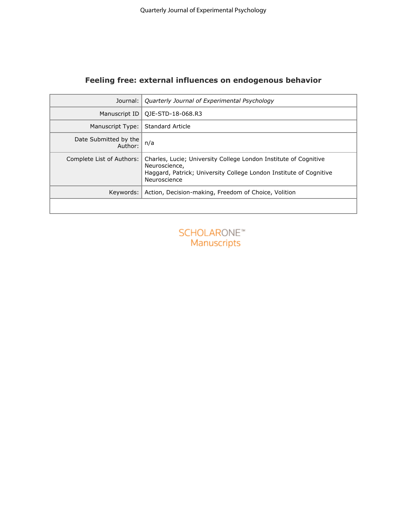# **Feeling free: external influences on endogenous behavior**

| Journal:                         | Quarterly Journal of Experimental Psychology                                                                                                                            |
|----------------------------------|-------------------------------------------------------------------------------------------------------------------------------------------------------------------------|
| Manuscript ID                    | QJE-STD-18-068.R3                                                                                                                                                       |
| Manuscript Type:                 | Standard Article                                                                                                                                                        |
| Date Submitted by the<br>Author: | n/a                                                                                                                                                                     |
| Complete List of Authors:        | Charles, Lucie; University College London Institute of Cognitive<br>Neuroscience,<br>Haggard, Patrick; University College London Institute of Cognitive<br>Neuroscience |
| Keywords:                        | Action, Decision-making, Freedom of Choice, Volition                                                                                                                    |
|                                  |                                                                                                                                                                         |

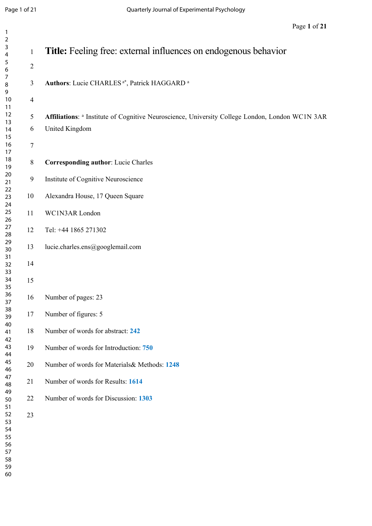| $\overline{\mathbf{c}}$ |                |                                                                                                 |
|-------------------------|----------------|-------------------------------------------------------------------------------------------------|
| 3                       | $\mathbf{1}$   | <b>Title:</b> Feeling free: external influences on endogenous behavior                          |
| 4                       |                |                                                                                                 |
| 5<br>6                  | $\overline{c}$ |                                                                                                 |
| 7                       |                |                                                                                                 |
| 8                       | $\mathfrak{Z}$ | Authors: Lucie CHARLES <sup>a*</sup> , Patrick HAGGARD <sup>a</sup>                             |
| 9                       |                |                                                                                                 |
| 10                      | $\overline{4}$ |                                                                                                 |
| 11                      |                |                                                                                                 |
| 12                      | 5              | Affiliations: a Institute of Cognitive Neuroscience, University College London, London WC1N 3AR |
| 13<br>14                | 6              | United Kingdom                                                                                  |
| 15                      |                |                                                                                                 |
| 16                      | 7              |                                                                                                 |
| 17                      |                |                                                                                                 |
| 18                      | $8\,$          | <b>Corresponding author:</b> Lucie Charles                                                      |
| 19                      |                |                                                                                                 |
| 20<br>21                | 9              | Institute of Cognitive Neuroscience                                                             |
| 22                      |                |                                                                                                 |
| 23                      | 10             | Alexandra House, 17 Queen Square                                                                |
| 24                      |                |                                                                                                 |
| 25                      | 11             | WC1N3AR London                                                                                  |
| 26                      |                |                                                                                                 |
| 27<br>28                | 12             | Tel: +44 1865 271302                                                                            |
| 29                      |                |                                                                                                 |
| 30                      | 13             | lucie.charles.ens@googlemail.com                                                                |
| 31                      |                |                                                                                                 |
| 32                      | 14             |                                                                                                 |
| 33                      |                |                                                                                                 |
| 34<br>35                | 15             |                                                                                                 |
| 36                      |                |                                                                                                 |
| 37                      | 16             | Number of pages: 23                                                                             |
| 38                      |                |                                                                                                 |
| 39                      | 17             | Number of figures: 5                                                                            |
| 40                      | 18             | Number of words for abstract: 242                                                               |
| 41<br>42                |                |                                                                                                 |
| 43                      | 19             | Number of words for Introduction: 750                                                           |
| 44                      |                |                                                                                                 |
| 45                      | 20             | Number of words for Materials & Methods: 1248                                                   |
| 46                      |                |                                                                                                 |
| 47<br>48                | 21             | Number of words for Results: 1614                                                               |
| 49                      |                |                                                                                                 |
| 50                      | 22             | Number of words for Discussion: 1303                                                            |
| 51                      |                |                                                                                                 |
| 52                      | 23             |                                                                                                 |
| 53                      |                |                                                                                                 |
| 54                      |                |                                                                                                 |
| 55<br>56                |                |                                                                                                 |
| 57                      |                |                                                                                                 |
| 58                      |                |                                                                                                 |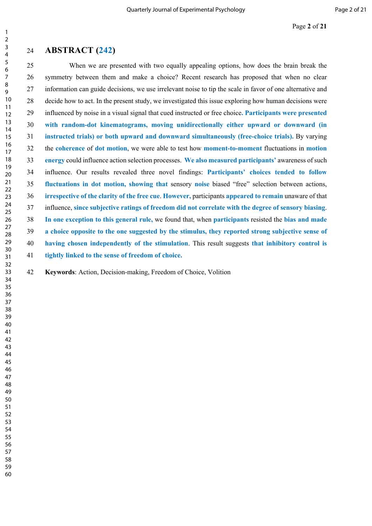#### **ABSTRACT (242)**

25 When we are presented with two equally appealing options, how does the brain break the 26 symmetry between them and make a choice? Recent research has proposed that when no clear 27 information can guide decisions, we use irrelevant noise to tip the scale in favor of one alternative and 28 decide how to act. In the present study, we investigated this issue exploring how human decisions were 29 influenced by noise in a visual signal that cued instructed or free choice**. Participants were presented with random-dot kinematograms, moving unidirectionally either upward or downward (in instructed trials) or both upward and downward simultaneously (free-choice trials).** By varying 32 the **coherence** of **dot motion**, we were able to test how **moment-to-moment** fluctuations in **motion energy** could influence action selection processes. **We also measured participants'** awareness of such 34 influence. Our results revealed three novel findings: **Participants' choices tended to follow fluctuations in dot motion, showing that** sensory **noise** biased "free" selection between actions, **irrespective of the clarity of the free cue**. **However,** participants **appeared to remain** unaware of that 37 influence, **since subjective ratings of freedom did not correlate with the degree of sensory biasing**. **In one exception to this general rule,** we found that, when **participants** resisted the **bias and made a choice opposite to the one suggested by the stimulus, they reported strong subjective sense of having chosen independently of the stimulation**. This result suggests **that inhibitory control is tightly linked to the sense of freedom of choice.** 

**Keywords**: Action, Decision-making, Freedom of Choice, Volition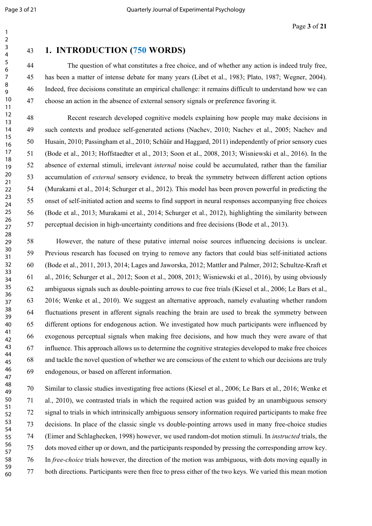# **1. INTRODUCTION (750 WORDS)**

44 The question of what constitutes a free choice, and of whether any action is indeed truly free, 45 has been a matter of intense debate for many years (Libet et al., 1983; Plato, 1987; Wegner, 2004). 46 Indeed, free decisions constitute an empirical challenge: it remains difficult to understand how we can 47 choose an action in the absence of external sensory signals or preference favoring it.

48 Recent research developed cognitive models explaining how people may make decisions in 49 such contexts and produce self-generated actions (Nachev, 2010; Nachev et al., 2005; Nachev and 50 Husain, 2010; Passingham et al., 2010; Schüür and Haggard, 2011) independently of prior sensory cues 51 (Bode et al., 2013; Hoffstaedter et al., 2013; Soon et al., 2008, 2013; Wisniewski et al., 2016). In the 52 absence of external stimuli, irrelevant *internal* noise could be accumulated, rather than the familiar 53 accumulation of *external* sensory evidence, to break the symmetry between different action options 54 (Murakami et al., 2014; Schurger et al., 2012). This model has been proven powerful in predicting the 55 onset of self-initiated action and seems to find support in neural responses accompanying free choices 56 (Bode et al., 2013; Murakami et al., 2014; Schurger et al., 2012), highlighting the similarity between 57 perceptual decision in high-uncertainty conditions and free decisions (Bode et al., 2013).

58 However, the nature of these putative internal noise sources influencing decisions is unclear. 59 Previous research has focused on trying to remove any factors that could bias self-initiated actions 60 (Bode et al., 2011, 2013, 2014; Lages and Jaworska, 2012; Mattler and Palmer, 2012; Schultze-Kraft et 61 al., 2016; Schurger et al., 2012; Soon et al., 2008, 2013; Wisniewski et al., 2016), by using obviously 62 ambiguous signals such as double-pointing arrows to cue free trials (Kiesel et al., 2006; Le Bars et al., 63 2016; Wenke et al., 2010). We suggest an alternative approach, namely evaluating whether random 64 fluctuations present in afferent signals reaching the brain are used to break the symmetry between 65 different options for endogenous action. We investigated how much participants were influenced by 66 exogenous perceptual signals when making free decisions, and how much they were aware of that 67 influence. This approach allows us to determine the cognitive strategies developed to make free choices 68 and tackle the novel question of whether we are conscious of the extent to which our decisions are truly 69 endogenous, or based on afferent information.

70 Similar to classic studies investigating free actions (Kiesel et al., 2006; Le Bars et al., 2016; Wenke et 71 al., 2010), we contrasted trials in which the required action was guided by an unambiguous sensory 72 signal to trials in which intrinsically ambiguous sensory information required participants to make free 73 decisions. In place of the classic single vs double-pointing arrows used in many free-choice studies 74 (Eimer and Schlaghecken, 1998) however, we used random-dot motion stimuli. In *instructed* trials, the 75 dots moved either up or down, and the participants responded by pressing the corresponding arrow key. 76 In *free-choice* trials however, the direction of the motion was ambiguous, with dots moving equally in 77 both directions. Participants were then free to press either of the two keys. We varied this mean motion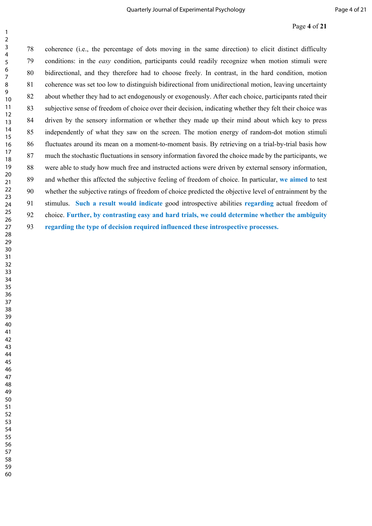#### Page **4** of **21**

78 coherence (i.e., the percentage of dots moving in the same direction) to elicit distinct difficulty 79 conditions: in the *easy* condition, participants could readily recognize when motion stimuli were 80 bidirectional, and they therefore had to choose freely. In contrast, in the hard condition, motion 81 coherence was set too low to distinguish bidirectional from unidirectional motion, leaving uncertainty 82 about whether they had to act endogenously or exogenously. After each choice, participants rated their 83 subjective sense of freedom of choice over their decision, indicating whether they felt their choice was 84 driven by the sensory information or whether they made up their mind about which key to press 85 independently of what they saw on the screen. The motion energy of random-dot motion stimuli 86 fluctuates around its mean on a moment-to-moment basis. By retrieving on a trial-by-trial basis how 87 much the stochastic fluctuations in sensory information favored the choice made by the participants, we 88 were able to study how much free and instructed actions were driven by external sensory information, 89 and whether this affected the subjective feeling of freedom of choice. In particular, **we aimed** to test 90 whether the subjective ratings of freedom of choice predicted the objective level of entrainment by the 91 stimulus. **Such a result would indicate** good introspective abilities **regarding** actual freedom of 92 choice. **Further, by contrasting easy and hard trials, we could determine whether the ambiguity regarding the type of decision required influenced these introspective processes.**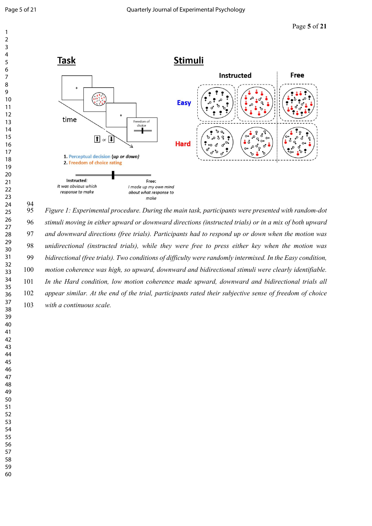

 

94<br>95 *Figure 1: Experimental procedure. During the main task, participants were presented with random-dot stimuli moving in either upward or downward directions (instructed trials) or in a mix of both upward and downward directions (free trials). Participants had to respond up or down when the motion was unidirectional (instructed trials), while they were free to press either key when the motion was bidirectional (free trials). Two conditions of difficulty were randomly intermixed. In the Easy condition, motion coherence was high, so upward, downward and bidirectional stimuli were clearly identifiable. In the Hard condition, low motion coherence made upward, downward and bidirectional trials all appear similar. At the end of the trial, participants rated their subjective sense of freedom of choice with a continuous scale.*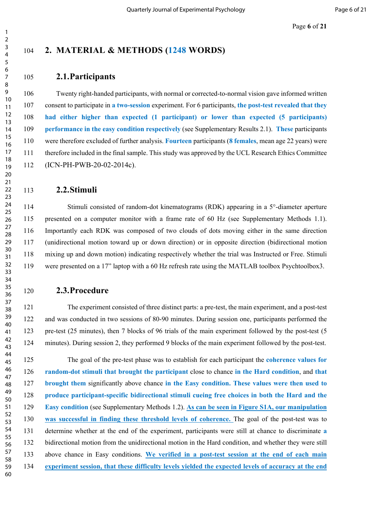Page **6** of **21**

## **2. MATERIAL & METHODS (1248 WORDS)**

#### **2.1.Participants**

106 Twenty right-handed participants, with normal or corrected-to-normal vision gave informed written 107 consent to participate in **a two-session** experiment. For 6 participants, **the post-test revealed that they had either higher than expected (1 participant) or lower than expected (5 participants) performance in the easy condition respectively** (see Supplementary Results 2.1). **These** participants 110 were therefore excluded of further analysis. **Fourteen** participants (**8 females**, mean age 22 years) were 111 therefore included in the final sample. This study was approved by the UCL Research Ethics Committee 112 (ICN-PH-PWB-20-02-2014c).

#### **2.2.Stimuli**

114 Stimuli consisted of random-dot kinematograms (RDK) appearing in a 5<sup>°</sup>-diameter aperture 115 presented on a computer monitor with a frame rate of 60 Hz (see Supplementary Methods 1.1). 116 Importantly each RDK was composed of two clouds of dots moving either in the same direction 117 (unidirectional motion toward up or down direction) or in opposite direction (bidirectional motion 118 mixing up and down motion) indicating respectively whether the trial was Instructed or Free. Stimuli 119 were presented on a 17" laptop with a 60 Hz refresh rate using the MATLAB toolbox Psychtoolbox3.

#### **2.3.Procedure**

121 The experiment consisted of three distinct parts: a pre-test, the main experiment, and a post-test 122 and was conducted in two sessions of 80-90 minutes. During session one, participants performed the 123 pre-test (25 minutes), then 7 blocks of 96 trials of the main experiment followed by the post-test (5 124 minutes). During session 2, they performed 9 blocks of the main experiment followed by the post-test.

125 The goal of the pre-test phase was to establish for each participant the **coherence values for random-dot stimuli that brought the participant** close to chance **in the Hard condition**, and **that brought them** significantly above chance **in the Easy condition. These values were then used to produce participant-specific bidirectional stimuli cueing free choices in both the Hard and the Easy condition** (see Supplementary Methods 1.2). **As can be seen in Figure S1A, our manipulation was successful in finding these threshold levels of coherence.** The goal of the post-test was to 131 determine whether at the end of the experiment, participants were still at chance to discriminate **a** 132 bidirectional motion from the unidirectional motion in the Hard condition, and whether they were still 133 above chance in Easy conditions. **We verified in a post-test session at the end of each main experiment session, that these difficulty levels yielded the expected levels of accuracy at the end**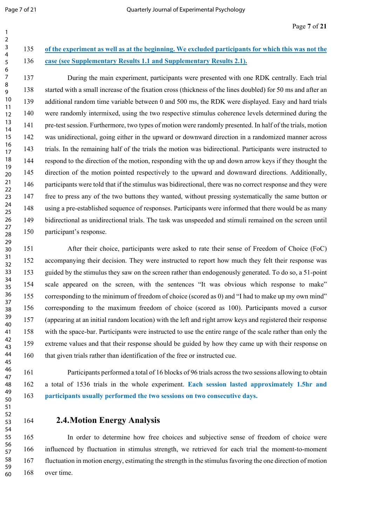# **of the experiment as well as at the beginning. We excluded participants for which this was not the case (see Supplementary Results 1.1 and Supplementary Results 2.1).**

137 During the main experiment, participants were presented with one RDK centrally. Each trial 138 started with a small increase of the fixation cross (thickness of the lines doubled) for 50 ms and after an 139 additional random time variable between 0 and 500 ms, the RDK were displayed. Easy and hard trials 140 were randomly intermixed, using the two respective stimulus coherence levels determined during the 141 pre-test session. Furthermore, two types of motion were randomly presented. In half of the trials, motion 142 was unidirectional, going either in the upward or downward direction in a randomized manner across 143 trials. In the remaining half of the trials the motion was bidirectional. Participants were instructed to 144 respond to the direction of the motion, responding with the up and down arrow keys if they thought the 145 direction of the motion pointed respectively to the upward and downward directions. Additionally, 146 participants were told that if the stimulus was bidirectional, there was no correct response and they were 147 free to press any of the two buttons they wanted, without pressing systematically the same button or 148 using a pre-established sequence of responses. Participants were informed that there would be as many 149 bidirectional as unidirectional trials. The task was unspeeded and stimuli remained on the screen until 150 participant's response. 

151 After their choice, participants were asked to rate their sense of Freedom of Choice (FoC) 152 accompanying their decision. They were instructed to report how much they felt their response was 153 guided by the stimulus they saw on the screen rather than endogenously generated. To do so, a 51-point 154 scale appeared on the screen, with the sentences "It was obvious which response to make" 155 corresponding to the minimum of freedom of choice (scored as 0) and "I had to make up my own mind" 156 corresponding to the maximum freedom of choice (scored as 100). Participants moved a cursor 157 (appearing at an initial random location) with the left and right arrow keys and registered their response 158 with the space-bar. Participants were instructed to use the entire range of the scale rather than only the 159 extreme values and that their response should be guided by how they came up with their response on 160 that given trials rather than identification of the free or instructed cue. 

161 Participants performed a total of 16 blocks of 96 trials across the two sessions allowing to obtain 162 a total of 1536 trials in the whole experiment. **Each session lasted approximately 1.5hr and participants usually performed the two sessions on two consecutive days.**

## **2.4.Motion Energy Analysis**

165 In order to determine how free choices and subjective sense of freedom of choice were 166 influenced by fluctuation in stimulus strength, we retrieved for each trial the moment-to-moment 167 fluctuation in motion energy, estimating the strength in the stimulus favoring the one direction of motion 168 over time.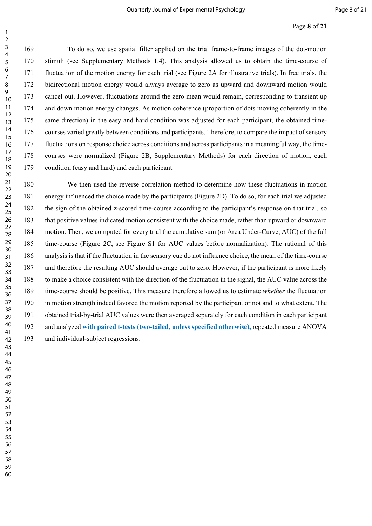#### Page **8** of **21**

169 To do so, we use spatial filter applied on the trial frame-to-frame images of the dot-motion 170 stimuli (see Supplementary Methods 1.4). This analysis allowed us to obtain the time-course of 171 fluctuation of the motion energy for each trial (see Figure 2A for illustrative trials). In free trials, the 172 bidirectional motion energy would always average to zero as upward and downward motion would 173 cancel out. However, fluctuations around the zero mean would remain, corresponding to transient up 174 and down motion energy changes. As motion coherence (proportion of dots moving coherently in the 175 same direction) in the easy and hard condition was adjusted for each participant, the obtained time-176 courses varied greatly between conditions and participants. Therefore, to compare the impact of sensory 177 fluctuations on response choice across conditions and across participants in a meaningful way, the time-178 courses were normalized (Figure 2B, Supplementary Methods) for each direction of motion, each 179 condition (easy and hard) and each participant. 

180 We then used the reverse correlation method to determine how these fluctuations in motion 181 energy influenced the choice made by the participants (Figure 2D). To do so, for each trial we adjusted 182 the sign of the obtained z-scored time-course according to the participant's response on that trial, so 183 that positive values indicated motion consistent with the choice made, rather than upward or downward 184 motion. Then, we computed for every trial the cumulative sum (or Area Under-Curve, AUC) of the full 185 time-course (Figure 2C, see Figure S1 for AUC values before normalization). The rational of this 186 analysis is that if the fluctuation in the sensory cue do not influence choice, the mean of the time-course 187 and therefore the resulting AUC should average out to zero. However, if the participant is more likely 188 to make a choice consistent with the direction of the fluctuation in the signal, the AUC value across the 189 time-course should be positive. This measure therefore allowed us to estimate *whether* the fluctuation 190 in motion strength indeed favored the motion reported by the participant or not and to what extent. The 191 obtained trial-by-trial AUC values were then averaged separately for each condition in each participant 192 and analyzed **with paired t-tests (two-tailed, unless specified otherwise),** repeated measure ANOVA 193 and individual-subject regressions.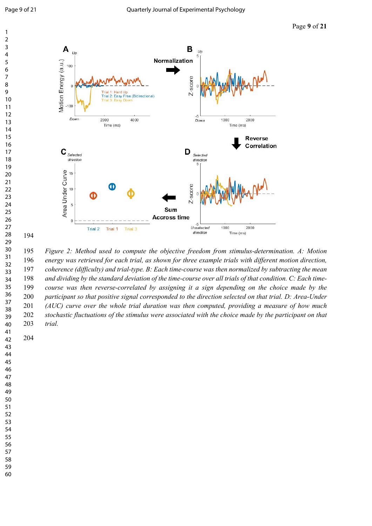

 *Figure 2: Method used to compute the objective freedom from stimulus-determination. A: Motion energy was retrieved for each trial, as shown for three example trials with different motion direction, coherence (difficulty) and trial-type. B: Each time-course was then normalized by subtracting the mean and dividing by the standard deviation of the time-course over all trials of that condition. C: Each time- course was then reverse-correlated by assigning it a sign depending on the choice made by the participant so that positive signal corresponded to the direction selected on that trial. D: Area-Under (AUC) curve over the whole trial duration was then computed, providing a measure of how much stochastic fluctuations of the stimulus were associated with the choice made by the participant on that trial.*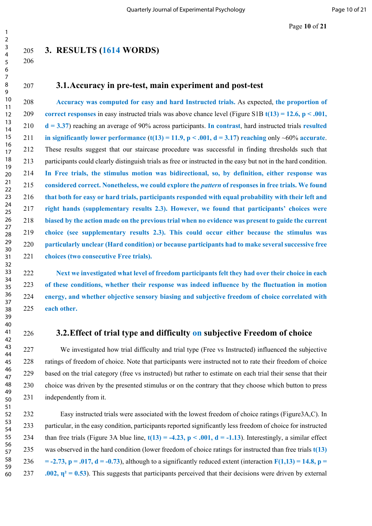Page **10** of **21**

## **3. RESULTS (1614 WORDS)**

#### **3.1.Accuracy in pre-test, main experiment and post-test**

 **Accuracy was computed for easy and hard Instructed trials.** As expected, **the proportion of correct responses** in easy instructed trials was above chance level (Figure S1B **t(13) = 12.6, p < .001, d = 3.37**) reaching an average of 90% across participants. **In contrast**, hard instructed trials **resulted in significantly lower performance**  $(t(13) = 11.9, p < .001, d = 3.17)$  **reaching only ~60% accurate.** 212 These results suggest that our staircase procedure was successful in finding thresholds such that 213 participants could clearly distinguish trials as free or instructed in the easy but not in the hard condition. **In Free trials, the stimulus motion was bidirectional, so, by definition, either response was considered correct. Nonetheless, we could explore the** *pattern* **of responses in free trials. We found that both for easy or hard trials, participants responded with equal probability with their left and right hands (supplementary results 2.3). However, we found that participants' choices were biased by the action made on the previous trial when no evidence was present to guide the current choice (see supplementary results 2.3). This could occur either because the stimulus was particularly unclear (Hard condition) or because participants had to make several successive free choices (two consecutive Free trials).**

 **Next we investigated what level of freedom participants felt they had over their choice in each of these conditions, whether their response was indeed influence by the fluctuation in motion energy, and whether objective sensory biasing and subjective freedom of choice correlated with each other.**

## **3.2.Effect of trial type and difficulty on subjective Freedom of choice**

227 We investigated how trial difficulty and trial type (Free vs Instructed) influenced the subjective 228 ratings of freedom of choice. Note that participants were instructed not to rate their freedom of choice 229 based on the trial category (free vs instructed) but rather to estimate on each trial their sense that their 230 choice was driven by the presented stimulus or on the contrary that they choose which button to press 231 independently from it.

232 Easy instructed trials were associated with the lowest freedom of choice ratings (Figure3A,C). In 233 particular, in the easy condition, participants reported significantly less freedom of choice for instructed 234 than free trials (Figure 3A blue line,  $t(13) = -4.23$ ,  $p < .001$ ,  $d = -1.13$ ). Interestingly, a similar effect 235 was observed in the hard condition (lower freedom of choice ratings for instructed than free trials **t(13)**  236 =  $-2.73$ ,  $p = .017$ ,  $d = -0.73$ ), although to a significantly reduced extent (interaction  $F(1,13) = 14.8$ ,  $p =$ 237 **.002,**  $\eta^2 = 0.53$ ). This suggests that participants perceived that their decisions were driven by external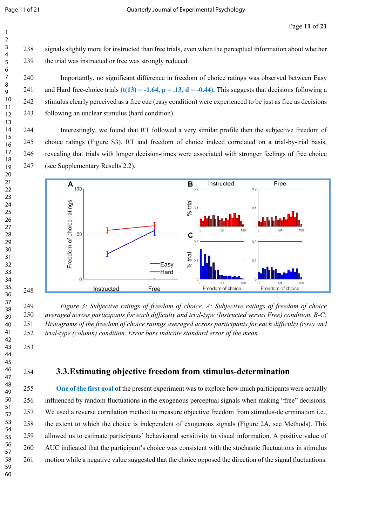238 signals slightly more for instructed than free trials, even when the perceptual information about whether 239 the trial was instructed or free was strongly reduced.

240 Importantly, no significant difference in freedom of choice ratings was observed between Easy 241 and Hard free-choice trials  $(t(13) = -1.64$ ,  $p = .13$ ,  $d = -0.44$ ). This suggests that decisions following a 242 stimulus clearly perceived as a free cue (easy condition) were experienced to be just as free as decisions 243 following an unclear stimulus (hard condition).

244 Interestingly, we found that RT followed a very similar profile then the subjective freedom of 245 choice ratings (Figure S3). RT and freedom of choice indeed correlated on a trial-by-trial basis, 246 revealing that trials with longer decision-times were associated with stronger feelings of free choice 247 (see Supplementary Results 2.2).



 *Figure 3: Subjective ratings of freedom of choice. A: Subjective ratings of freedom of choice averaged across participants for each difficulty and trial-type (Instructed versus Free) condition. B-C: Histograms of the freedom of choice ratings averaged across participants for each difficulty (row) and trial-type (column) condition. Error bars indicate standard error of the mean.*

## **3.3.Estimating objective freedom from stimulus-determination**

 **One of the first goal** of the present experiment was to explore how much participants were actually 256 influenced by random fluctuations in the exogenous perceptual signals when making "free" decisions. 257 We used a reverse correlation method to measure objective freedom from stimulus-determination i.e., 258 the extent to which the choice is independent of exogenous signals (Figure 2A, see Methods). This 259 allowed us to estimate participants' behavioural sensitivity to visual information. A positive value of 260 AUC indicated that the participant's choice was consistent with the stochastic fluctuations in stimulus 261 motion while a negative value suggested that the choice opposed the direction of the signal fluctuations.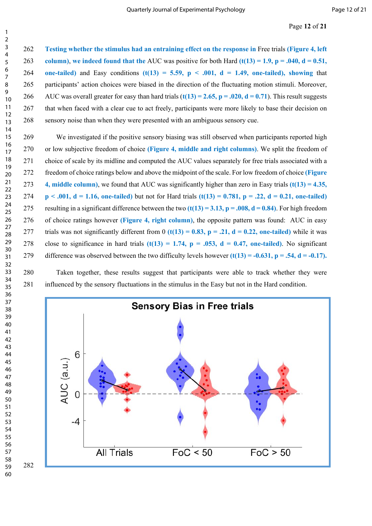**Testing whether the stimulus had an entraining effect on the response in** Free trials **(Figure 4, left column)**, **we indeed found that the** AUC was positive for both Hard **(t(13) = 1.9, p = .040, d = 0.51,**  264 **one-tailed)** and Easy conditions  $(t(13) = 5.59, p < .001, d = 1.49,$  one-tailed), showing that 265 participants' action choices were biased in the direction of the fluctuating motion stimuli. Moreover, 266 AUC was overall greater for easy than hard trials  $(t(13) = 2.65, p = .020, d = 0.71)$ . This result suggests 267 that when faced with a clear cue to act freely, participants were more likely to base their decision on 268 sensory noise than when they were presented with an ambiguous sensory cue.

269 We investigated if the positive sensory biasing was still observed when participants reported high 270 or low subjective freedom of choice **(Figure 4, middle and right columns)**. We split the freedom of 271 choice of scale by its midline and computed the AUC values separately for free trials associated with a 272 freedom of choice ratings below and above the midpoint of the scale. For low freedom of choice **(Figure 4, middle column)**, we found that AUC was significantly higher than zero in Easy trials **(t(13) = 4.35,**  274 **p** < .001, d = 1.16, one-tailed) but not for Hard trials  $(t(13) = 0.781, p = .22, d = 0.21,$  one-tailed) 275 resulting in a significant difference between the two  $(t(13) = 3.13, p = .008, d = 0.84)$ . For high freedom 276 of choice ratings however **(Figure 4, right column)**, the opposite pattern was found: AUC in easy 277 trials was not significantly different from (t(13) = 0.83, p = .21, d = 0.22, one-tailed) while it was 278 close to significance in hard trials  $(t(13) = 1.74$ ,  $p = .053$ ,  $d = 0.47$ , one-tailed). No significant 279 difference was observed between the two difficulty levels however **(t(13) = -0.631, p = .54, d = -0.17).**

280 Taken together, these results suggest that participants were able to track whether they were 281 influenced by the sensory fluctuations in the stimulus in the Easy but not in the Hard condition.

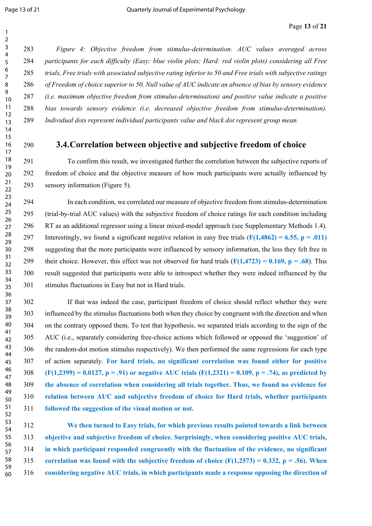*Figure 4: Objective freedom from stimulus-determination. AUC values averaged across participants for each difficulty (Easy: blue violin plots; Hard: red violin plots) considering all Free trials, Free trials with associated subjective rating inferior to 50 and Free trials with subjective ratings of Freedom of choice superior to 50. Null value of AUC indicate an absence of bias by sensory evidence (i.e. maximum objective freedom from stimulus-determination) and positive value indicate a positive bias towards sensory evidence (i.e. decreased objective freedom from stimulus-determination). Individual dots represent individual participants value and black dot represent group mean.*

## **3.4.Correlation between objective and subjective freedom of choice**

291 To confirm this result, we investigated further the correlation between the subjective reports of 292 freedom of choice and the objective measure of how much participants were actually influenced by 293 sensory information (Figure 5).

294 In each condition, we correlated our measure of objective freedom from stimulus-determination 295 (trial-by-trial AUC values) with the subjective freedom of choice ratings for each condition including 296 RT as an additional regressor using a linear mixed-model approach (see Supplementary Methods 1.4). 297 Interestingly, we found a significant negative relation in easy free trials **(F(1,4862) = 6.55, p = .011)** 298 suggesting that the more participants were influenced by sensory information, the less they felt free in 299 their choice. However, this effect was not observed for hard trials  $(F(1,4723) = 0.169, p = .68)$ . This 300 result suggested that participants were able to introspect whether they were indeed influenced by the 301 stimulus fluctuations in Easy but not in Hard trials.

302 If that was indeed the case, participant freedom of choice should reflect whether they were 303 influenced by the stimulus fluctuations both when they choice by congruent with the direction and when 304 on the contrary opposed them. To test that hypothesis, we separated trials according to the sign of the 305 AUC (i.e., separately considering free-choice actions which followed or opposed the 'suggestion' of 306 the random-dot motion stimulus respectively). We then performed the same regressions for each type 307 of action separately. **For hard trials, no significant correlation was found either for positive (F(1,2399) = 0.0127, p = .91) or negative AUC trials (F(1,2321) = 0.109, p = .74), as predicted by the absence of correlation when considering all trials together. Thus, we found no evidence for relation between AUC and subjective freedom of choice for Hard trials, whether participants followed the suggestion of the visual motion or not.** 

 **We then turned to Easy trials, for which previous results pointed towards a link between objective and subjective freedom of choice. Surprisingly, when considering positive AUC trials, in which participant responded congruently with the fluctuation of the evidence, no significant correlation was found with the subjective freedom of choice (F(1,2573) = 0.332, p = .56). When considering negative AUC trials, in which participants made a response opposing the direction of**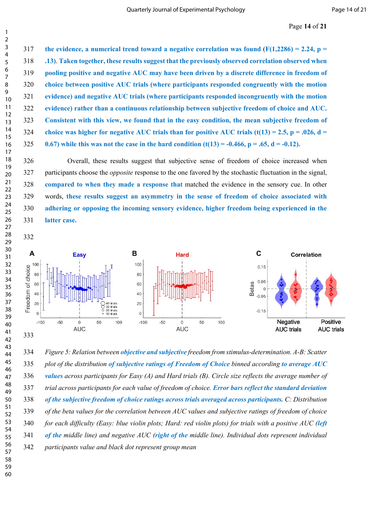**the evidence, a numerical trend toward a negative correlation was found** (**F(1,2286) = 2.24, p = .13)**. **Taken together, these results suggest that the previously observed correlation observed when pooling positive and negative AUC may have been driven by a discrete difference in freedom of choice between positive AUC trials (where participants responded congruently with the motion evidence) and negative AUC trials (where participants responded incongruently with the motion evidence) rather than a continuous relationship between subjective freedom of choice and AUC. Consistent with this view, we found that in the easy condition, the mean subjective freedom of choice was higher for negative AUC trials than for positive AUC trials (t(13) = 2.5, p = .026, d = 0.67)** while this was not the case in the hard condition  $(t(13) = -0.466, p = .65, d = -0.12)$ .

326 Overall, these results suggest that subjective sense of freedom of choice increased when 327 participants choose the *opposite* response to the one favored by the stochastic fluctuation in the signal, **compared to when they made a response that** matched the evidence in the sensory cue. In other 329 words, **these results suggest an asymmetry in the sense of freedom of choice associated with adhering or opposing the incoming sensory evidence, higher freedom being experienced in the latter case.**



 *Figure 5: Relation between objective and subjective freedom from stimulus-determination. A-B: Scatter plot of the distribution of subjective ratings of Freedom of Choice binned according to average AUC values across participants for Easy (A) and Hard trials (B). Circle size reflects the average number of trial across participants for each value of freedom of choice. Error bars reflect the standard deviation of the subjective freedom of choice ratings across trials averaged across participants. C: Distribution of the beta values for the correlation between AUC values and subjective ratings of freedom of choice for each difficulty (Easy: blue violin plots; Hard: red violin plots) for trials with a positive AUC (left of the middle line) and negative AUC (right of the middle line). Individual dots represent individual participants value and black dot represent group mean*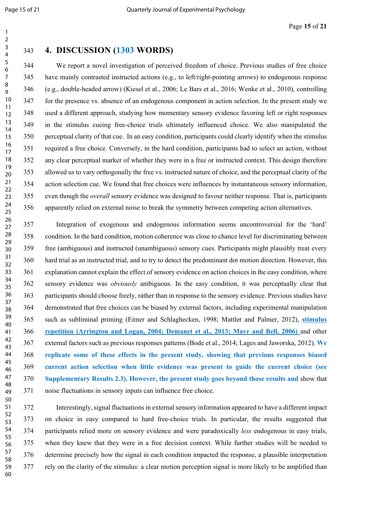## **4. DISCUSSION (1303 WORDS)**

344 We report a novel investigation of perceived freedom of choice. Previous studies of free choice 345 have mainly contrasted instructed actions (e.g., to left/right-pointing arrows) to endogenous response 346 (e.g., double-headed arrow) (Kiesel et al., 2006; Le Bars et al., 2016; Wenke et al., 2010), controlling 347 for the presence vs. absence of an endogenous component in action selection. In the present study we 348 used a different approach, studying how momentary sensory evidence favoring left or right responses 349 in the stimulus cueing free-choice trials ultimately influenced choice. We also manipulated the 350 perceptual clarity of that cue. In an easy condition, participants could clearly identify when the stimulus 351 required a free choice. Conversely, in the hard condition, participants had to select an action, without 352 any clear perceptual marker of whether they were in a free or instructed context. This design therefore 353 allowed us to vary orthogonally the free vs. instructed nature of choice, and the perceptual clarity of the 354 action selection cue. We found that free choices were influences by instantaneous sensory information, 355 even though the *overall* sensory evidence was designed to favour neither response. That is, participants 356 apparently relied on external noise to break the symmetry between competing action alternatives.

357 Integration of exogenous and endogenous information seems uncontroversial for the 'hard' 358 condition. In the hard condition, motion coherence was close to chance level for discriminating between 359 free (ambiguous) and instructed (unambiguous) sensory cues. Participants might plausibly treat every 360 hard trial as an instructed trial, and to try to detect the predominant dot motion direction. However, this 361 explanation cannot explain the effect of sensory evidence on action choices in the easy condition, where 362 sensory evidence was *obviously* ambiguous. In the easy condition, it was perceptually clear that 363 participants should choose freely, rather than in response to the sensory evidence. Previous studies have 364 demonstrated that free choices can be biased by external factors, including experimental manipulation 365 such as subliminal priming (Eimer and Schlaghecken, 1998; Mattler and Palmer, 2012), **stimulus repetition (Arrington and Logan, 2004; Demanet et al., 2013; Mayr and Bell, 2006)** and other 367 external factors such as previous responses patterns (Bode et al., 2014; Lages and Jaworska, 2012). **We replicate some of these effects in the present study, showing that previous responses biased current action selection when little evidence was present to guide the current choice (see Supplementary Results 2.3). However, the present study goes beyond those results and** show that 371 noise fluctuations in sensory inputs can influence free choice.

372 Interestingly, signal fluctuations in external sensory information appeared to have a different impact 373 on choice in easy compared to hard free-choice trials. In particular, the results suggested that 374 participants relied more on sensory evidence and were paradoxically *less* endogenous in easy trials, 375 when they knew that they were in a free decision context. While further studies will be needed to 376 determine precisely how the signal in each condition impacted the response, a plausible interpretation 377 rely on the clarity of the stimulus: a clear motion perception signal is more likely to be amplified than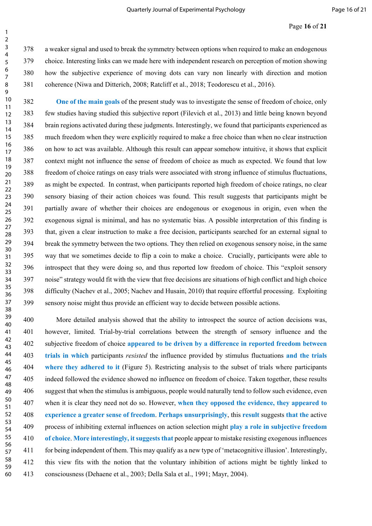#### Page **16** of **21**

378 a weaker signal and used to break the symmetry between options when required to make an endogenous 379 choice. Interesting links can we made here with independent research on perception of motion showing 380 how the subjective experience of moving dots can vary non linearly with direction and motion 381 coherence (Niwa and Ditterich, 2008; Ratcliff et al., 2018; Teodorescu et al., 2016).

 **One of the main goals** of the present study was to investigate the sense of freedom of choice, only 383 few studies having studied this subjective report (Filevich et al., 2013) and little being known beyond 384 brain regions activated during these judgments. Interestingly, we found that participants experienced as 385 much freedom when they were explicitly required to make a free choice than when no clear instruction 386 on how to act was available. Although this result can appear somehow intuitive, it shows that explicit 387 context might not influence the sense of freedom of choice as much as expected. We found that low 388 freedom of choice ratings on easy trials were associated with strong influence of stimulus fluctuations, 389 as might be expected. In contrast, when participants reported high freedom of choice ratings, no clear 390 sensory biasing of their action choices was found. This result suggests that participants might be 391 partially aware of whether their choices are endogenous or exogenous in origin, even when the 392 exogenous signal is minimal, and has no systematic bias. A possible interpretation of this finding is 393 that, given a clear instruction to make a free decision, participants searched for an external signal to 394 break the symmetry between the two options. They then relied on exogenous sensory noise, in the same 395 way that we sometimes decide to flip a coin to make a choice. Crucially, participants were able to 396 introspect that they were doing so, and thus reported low freedom of choice. This "exploit sensory 397 noise" strategy would fit with the view that free decisions are situations of high conflict and high choice 398 difficulty (Nachev et al., 2005; Nachev and Husain, 2010) that require effortful processing. Exploiting 399 sensory noise might thus provide an efficient way to decide between possible actions. 

400 More detailed analysis showed that the ability to introspect the source of action decisions was, 401 however, limited. Trial-by-trial correlations between the strength of sensory influence and the 402 subjective freedom of choice **appeared to be driven by a difference in reported freedom between trials in which** participants *resisted* the influence provided by stimulus fluctuations **and the trials where they adhered to it** (Figure 5). Restricting analysis to the subset of trials where participants 405 indeed followed the evidence showed no influence on freedom of choice. Taken together, these results 406 suggest that when the stimulus is ambiguous, people would naturally tend to follow such evidence, even 407 when it is clear they need not do so. However, **when they opposed the evidence, they appeared to experience a greater sense of freedom**. **Perhaps unsurprisingly**, this **result** suggests **that the** active 409 process of inhibiting external influences on action selection might **play a role in subjective freedom of choice**. **More interestingly, it suggests that** people appear to mistake resisting exogenous influences 411 for being independent of them. This may qualify as a new type of 'metacognitive illusion'. Interestingly, 412 this view fits with the notion that the voluntary inhibition of actions might be tightly linked to 413 consciousness (Dehaene et al., 2003; Della Sala et al., 1991; Mayr, 2004).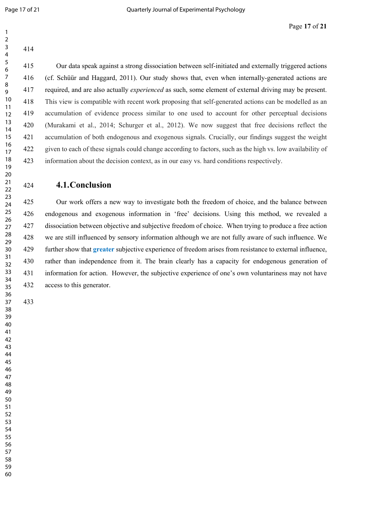| $\overline{2}$ |     |
|----------------|-----|
| 3              | 414 |
| 4              |     |
| 5              |     |
| 6              | 415 |

415 Our data speak against a strong dissociation between self-initiated and externally triggered actions 416 (cf. Schüür and Haggard, 2011). Our study shows that, even when internally-generated actions are 417 required, and are also actually *experienced* as such, some element of external driving may be present. This view is compatible with recent work proposing that self-generated actions can be modelled as an accumulation of evidence process similar to one used to account for other perceptual decisions (Murakami et al., 2014; Schurger et al., 2012). We now suggest that free decisions reflect the accumulation of both endogenous and exogenous signals. Crucially, our findings suggest the weight given to each of these signals could change according to factors, such as the high vs. low availability of information about the decision context, as in our easy vs. hard conditions respectively.

#### **4.1.Conclusion**

425 Our work offers a new way to investigate both the freedom of choice, and the balance between 426 endogenous and exogenous information in 'free' decisions. Using this method, we revealed a 427 dissociation between objective and subjective freedom of choice. When trying to produce a free action 428 we are still influenced by sensory information although we are not fully aware of such influence. We 429 further show that **greater** subjective experience of freedom arises from resistance to external influence, 430 rather than independence from it. The brain clearly has a capacity for endogenous generation of 431 information for action. However, the subjective experience of one's own voluntariness may not have 432 access to this generator.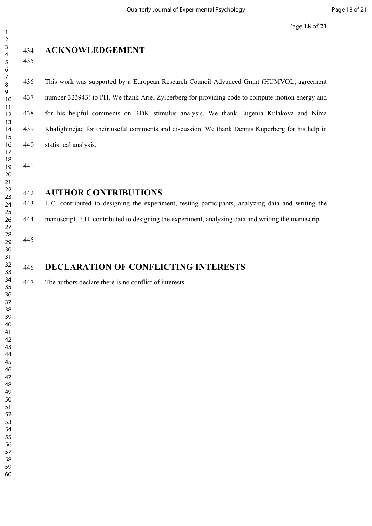| $\overline{\mathbf{c}}$ |
|-------------------------|
| 3                       |
| 4                       |
|                         |
| 5                       |
| 6<br>7                  |
|                         |
| 8                       |
| 9                       |
| $\overline{10}$         |
|                         |
| 1<br>1                  |
| $\overline{12}$         |
| $\overline{13}$         |
| 14                      |
| 5<br>1                  |
| 16<br>17                |
|                         |
| 18                      |
|                         |
| 19                      |
|                         |
| 20<br>21<br>-           |
| $\frac{1}{2}$           |
| 23                      |
| 24                      |
| 25                      |
|                         |
| 26                      |
| 27                      |
| 28                      |
| 29                      |
| .<br>30                 |
| -<br>31                 |
| -<br>32                 |
|                         |
| -<br>33                 |
| -<br>34                 |
| 35                      |
| 36<br>37                |
|                         |
| 38                      |
|                         |
| 39                      |
| 40                      |
| 41                      |
| 42                      |
| 43                      |
| 44                      |
| 45                      |
|                         |
| 46                      |
| 47                      |
| 48                      |
| 49                      |
| 50                      |
| 51                      |
|                         |
| 52                      |
| 53                      |
| 54                      |
| 55                      |
| 56                      |
| 57                      |
| 58                      |
|                         |
| 59                      |
| 60                      |

# **ACKNOWLEDGEMENT**

436 This work was supported by a European Research Council Advanced Grant (HUMVOL, agreement 437 number 323943) to PH. We thank Ariel Zylberberg for providing code to compute motion energy and 438 for his helpful comments on RDK stimulus analysis. We thank Eugenia Kulakova and Nima 439 Khalighinejad for their useful comments and discussion. We thank Dennis Kuperberg for his help in 440 statistical analysis.

## **AUTHOR CONTRIBUTIONS**

443 L.C. contributed to designing the experiment, testing participants, analyzing data and writing the 444 manuscript. P.H. contributed to designing the experiment, analyzing data and writing the manuscript.

# **DECLARATION OF CONFLICTING INTERESTS**

447 The authors declare there is no conflict of interests.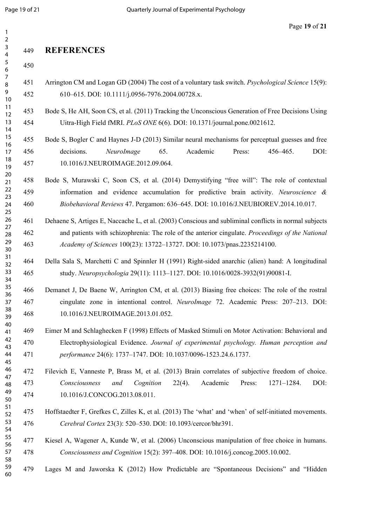## **REFERENCES**

- 451 Arrington CM and Logan GD (2004) The cost of a voluntary task switch. *Psychological Science* 15(9): 452 610–615. DOI: 10.1111/j.0956-7976.2004.00728.x.
- 453 Bode S, He AH, Soon CS, et al. (2011) Tracking the Unconscious Generation of Free Decisions Using 454 Uitra-High Field fMRI. *PLoS ONE* 6(6). DOI: 10.1371/journal.pone.0021612.
- 455 Bode S, Bogler C and Haynes J-D (2013) Similar neural mechanisms for perceptual guesses and free 456 decisions. *NeuroImage* 65. Academic Press: 456–465. DOI: 457 10.1016/J.NEUROIMAGE.2012.09.064.
- 458 Bode S, Murawski C, Soon CS, et al. (2014) Demystifying "free will": The role of contextual 459 information and evidence accumulation for predictive brain activity. *Neuroscience & Biobehavioral Reviews* 47. Pergamon: 636–645. DOI: 10.1016/J.NEUBIOREV.2014.10.017.
- 461 Dehaene S, Artiges E, Naccache L, et al. (2003) Conscious and subliminal conflicts in normal subjects 462 and patients with schizophrenia: The role of the anterior cingulate. *Proceedings of the National Academy of Sciences* 100(23): 13722–13727. DOI: 10.1073/pnas.2235214100.
- 464 Della Sala S, Marchetti C and Spinnler H (1991) Right-sided anarchic (alien) hand: A longitudinal 465 study. *Neuropsychologia* 29(11): 1113–1127. DOI: 10.1016/0028-3932(91)90081-I.
- 466 Demanet J, De Baene W, Arrington CM, et al. (2013) Biasing free choices: The role of the rostral 467 cingulate zone in intentional control. *NeuroImage* 72. Academic Press: 207–213. DOI: 468 10.1016/J.NEUROIMAGE.2013.01.052.
- 469 Eimer M and Schlaghecken F (1998) Effects of Masked Stimuli on Motor Activation: Behavioral and 470 Electrophysiological Evidence. *Journal of experimental psychology. Human perception and performance* 24(6): 1737–1747. DOI: 10.1037/0096-1523.24.6.1737.
- 472 Filevich E, Vanneste P, Brass M, et al. (2013) Brain correlates of subjective freedom of choice. *Consciousness and Cognition* 22(4). Academic Press: 1271–1284. DOI: 474 10.1016/J.CONCOG.2013.08.011.
- 475 Hoffstaedter F, Grefkes C, Zilles K, et al. (2013) The 'what' and 'when' of self-initiated movements. *Cerebral Cortex* 23(3): 520–530. DOI: 10.1093/cercor/bhr391.
- 477 Kiesel A, Wagener A, Kunde W, et al. (2006) Unconscious manipulation of free choice in humans. *Consciousness and Cognition* 15(2): 397–408. DOI: 10.1016/j.concog.2005.10.002.
- 479 Lages M and Jaworska K (2012) How Predictable are "Spontaneous Decisions" and "Hidden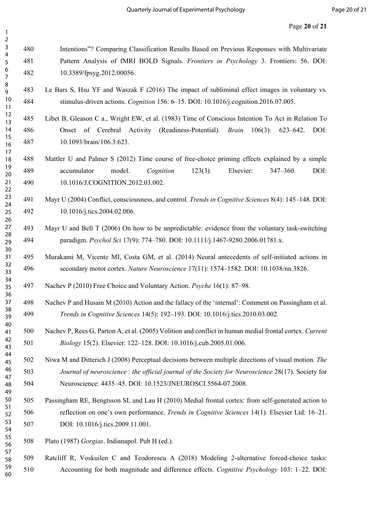- 480 Intentions"? Comparing Classification Results Based on Previous Responses with Multivariate 481 Pattern Analysis of fMRI BOLD Signals. *Frontiers in Psychology* 3. Frontiers: 56. DOI: 482 10.3389/fpsyg.2012.00056.
- 483 Le Bars S, Hsu YF and Waszak F (2016) The impact of subliminal effect images in voluntary vs. 484 stimulus-driven actions. *Cognition* 156: 6–15. DOI: 10.1016/j.cognition.2016.07.005.
- 485 Libet B, Gleason C a., Wright EW, et al. (1983) Time of Conscious Intention To Act in Relation To 486 Onset of Cerebral Activity (Readiness-Potential). *Brain* 106(3): 623–642. DOI: 487 10.1093/brain/106.3.623.
- 488 Mattler U and Palmer S (2012) Time course of free-choice priming effects explained by a simple 489 accumulator model. *Cognition* 123(3). Elsevier: 347–360. DOI: 490 10.1016/J.COGNITION.2012.03.002.
- 491 Mayr U (2004) Conflict, consciousness, and control. *Trends in Cognitive Sciences* 8(4): 145–148. DOI: 492 10.1016/j.tics.2004.02.006.
- 493 Mayr U and Bell T (2006) On how to be unpredictable: evidence from the voluntary task-switching 494 paradigm. *Psychol Sci* 17(9): 774–780. DOI: 10.1111/j.1467-9280.2006.01781.x.
- 495 Murakami M, Vicente MI, Costa GM, et al. (2014) Neural antecedents of self-initiated actions in 496 secondary motor cortex. *Nature Neuroscience* 17(11): 1574–1582. DOI: 10.1038/nn.3826.
- 497 Nachev P (2010) Free Choice and Voluntary Action. *Psyche* 16(1): 87–98.
- 498 Nachev P and Husain M (2010) Action and the fallacy of the 'internal': Comment on Passingham et al. *Trends in Cognitive Sciences* 14(5): 192–193. DOI: 10.1016/j.tics.2010.03.002.
- 500 Nachev P, Rees G, Parton A, et al. (2005) Volition and conflict in human medial frontal cortex. *Current Biology* 15(2). Elsevier: 122–128. DOI: 10.1016/j.cub.2005.01.006.
- 502 Niwa M and Ditterich J (2008) Perceptual decisions between multiple directions of visual motion. *The Journal of neuroscience : the official journal of the Society for Neuroscience* 28(17). Society for 504 Neuroscience: 4435–45. DOI: 10.1523/JNEUROSCI.5564-07.2008.
- 505 Passingham RE, Bengtsson SL and Lau H (2010) Medial frontal cortex: from self-generated action to 506 reflection on one's own performance. *Trends in Cognitive Sciences* 14(1). Elsevier Ltd: 16–21. 507 DOI: 10.1016/j.tics.2009.11.001.
- 508 Plato (1987) *Gorgias*. Indianapol. Pub H (ed.).
- 509 Ratcliff R, Voskuilen C and Teodorescu A (2018) Modeling 2-alternative forced-choice tasks: 510 Accounting for both magnitude and difference effects. *Cognitive Psychology* 103: 1–22. DOI: